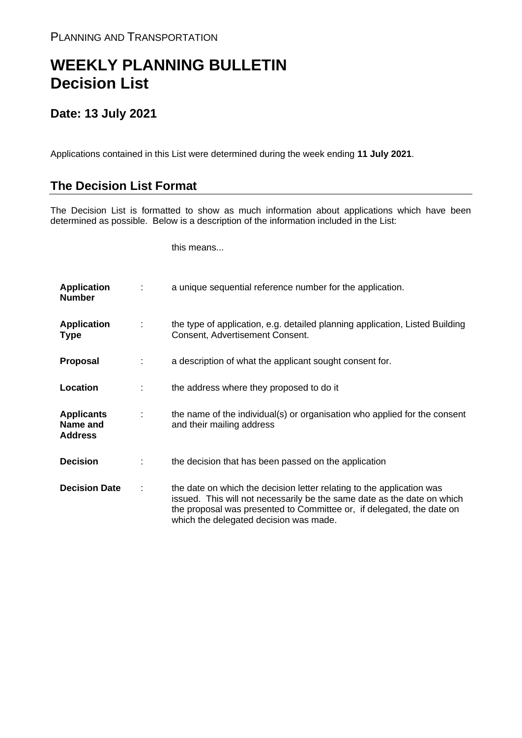## **WEEKLY PLANNING BULLETIN Decision List**

## **Date: 13 July 2021**

Applications contained in this List were determined during the week ending **11 July 2021**.

## **The Decision List Format**

The Decision List is formatted to show as much information about applications which have been determined as possible. Below is a description of the information included in the List:

this means...

| <b>Application</b><br><b>Number</b>             |   | a unique sequential reference number for the application.                                                                                                                                                                                                           |
|-------------------------------------------------|---|---------------------------------------------------------------------------------------------------------------------------------------------------------------------------------------------------------------------------------------------------------------------|
| <b>Application</b><br><b>Type</b>               | ÷ | the type of application, e.g. detailed planning application, Listed Building<br>Consent, Advertisement Consent.                                                                                                                                                     |
| <b>Proposal</b>                                 |   | a description of what the applicant sought consent for.                                                                                                                                                                                                             |
| Location                                        |   | the address where they proposed to do it                                                                                                                                                                                                                            |
| <b>Applicants</b><br>Name and<br><b>Address</b> |   | the name of the individual(s) or organisation who applied for the consent<br>and their mailing address                                                                                                                                                              |
| <b>Decision</b>                                 |   | the decision that has been passed on the application                                                                                                                                                                                                                |
| <b>Decision Date</b>                            |   | the date on which the decision letter relating to the application was<br>issued. This will not necessarily be the same date as the date on which<br>the proposal was presented to Committee or, if delegated, the date on<br>which the delegated decision was made. |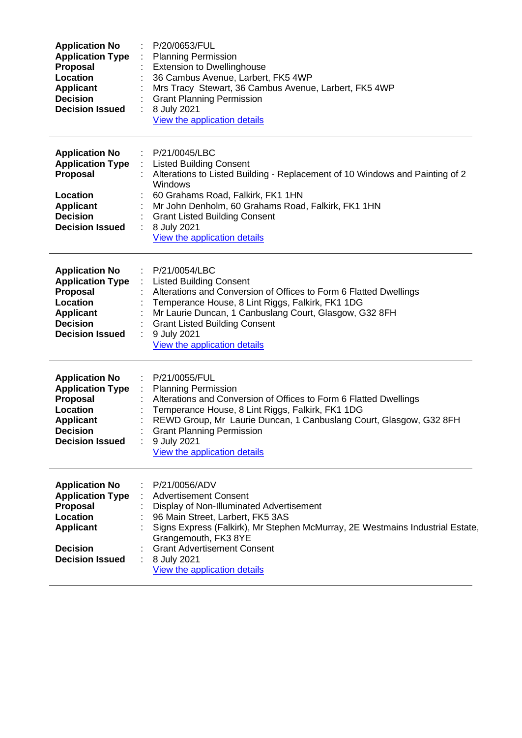| <b>Application No</b><br><b>Application Type</b><br><b>Proposal</b><br>Location<br>Applicant<br><b>Decision</b><br><b>Decision Issued</b>        | P/20/0653/FUL<br><b>Planning Permission</b><br><b>Extension to Dwellinghouse</b><br>36 Cambus Avenue, Larbert, FK5 4WP<br>Mrs Tracy Stewart, 36 Cambus Avenue, Larbert, FK5 4WP<br><b>Grant Planning Permission</b><br>8 July 2021<br>View the application details                                                                |
|--------------------------------------------------------------------------------------------------------------------------------------------------|-----------------------------------------------------------------------------------------------------------------------------------------------------------------------------------------------------------------------------------------------------------------------------------------------------------------------------------|
| <b>Application No</b><br><b>Application Type</b><br><b>Proposal</b><br>Location<br><b>Applicant</b><br><b>Decision</b><br><b>Decision Issued</b> | P/21/0045/LBC<br><b>Listed Building Consent</b><br>÷<br>Alterations to Listed Building - Replacement of 10 Windows and Painting of 2<br>Windows<br>60 Grahams Road, Falkirk, FK1 1HN<br>Mr John Denholm, 60 Grahams Road, Falkirk, FK1 1HN<br><b>Grant Listed Building Consent</b><br>8 July 2021<br>View the application details |
| <b>Application No</b><br><b>Application Type</b><br>Proposal<br>Location<br><b>Applicant</b><br><b>Decision</b><br><b>Decision Issued</b>        | P/21/0054/LBC<br><b>Listed Building Consent</b><br>Alterations and Conversion of Offices to Form 6 Flatted Dwellings<br>Temperance House, 8 Lint Riggs, Falkirk, FK1 1DG<br>Mr Laurie Duncan, 1 Canbuslang Court, Glasgow, G32 8FH<br><b>Grant Listed Building Consent</b><br>9 July 2021<br>View the application details         |
| <b>Application No</b><br><b>Application Type</b><br>Proposal<br>Location<br><b>Applicant</b><br><b>Decision</b><br><b>Decision Issued</b>        | P/21/0055/FUL<br><b>Planning Permission</b><br>Alterations and Conversion of Offices to Form 6 Flatted Dwellings<br>Temperance House, 8 Lint Riggs, Falkirk, FK1 1DG<br>REWD Group, Mr Laurie Duncan, 1 Canbuslang Court, Glasgow, G32 8FH<br><b>Grant Planning Permission</b><br>9 July 2021<br>View the application details     |
| <b>Application No</b><br><b>Application Type</b><br><b>Proposal</b><br>Location<br><b>Applicant</b><br><b>Decision</b><br><b>Decision Issued</b> | P/21/0056/ADV<br><b>Advertisement Consent</b><br>Display of Non-Illuminated Advertisement<br>96 Main Street, Larbert, FK5 3AS<br>Signs Express (Falkirk), Mr Stephen McMurray, 2E Westmains Industrial Estate,<br>Grangemouth, FK3 8YE<br><b>Grant Advertisement Consent</b><br>8 July 2021<br>View the application details       |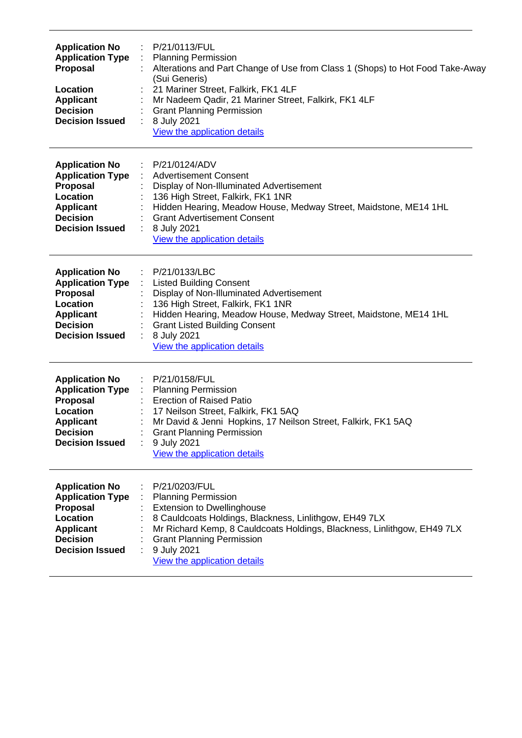| <b>Application No</b><br><b>Application Type</b><br>Proposal<br>Location<br><b>Applicant</b><br><b>Decision</b><br><b>Decision Issued</b>        | P/21/0113/FUL<br><b>Planning Permission</b><br>Alterations and Part Change of Use from Class 1 (Shops) to Hot Food Take-Away<br>(Sui Generis)<br>21 Mariner Street, Falkirk, FK1 4LF<br>Mr Nadeem Qadir, 21 Mariner Street, Falkirk, FK1 4LF<br><b>Grant Planning Permission</b><br>8 July 2021<br>View the application details |  |  |  |
|--------------------------------------------------------------------------------------------------------------------------------------------------|---------------------------------------------------------------------------------------------------------------------------------------------------------------------------------------------------------------------------------------------------------------------------------------------------------------------------------|--|--|--|
| <b>Application No</b><br><b>Application Type</b><br>Proposal<br>Location<br><b>Applicant</b><br><b>Decision</b><br><b>Decision Issued</b>        | P/21/0124/ADV<br>$\mathcal{L}_{\mathcal{A}}$<br><b>Advertisement Consent</b><br>Display of Non-Illuminated Advertisement<br>136 High Street, Falkirk, FK1 1NR<br>Hidden Hearing, Meadow House, Medway Street, Maidstone, ME14 1HL<br><b>Grant Advertisement Consent</b><br>8 July 2021<br>View the application details          |  |  |  |
| <b>Application No</b><br><b>Application Type</b><br>Proposal<br>Location<br><b>Applicant</b><br><b>Decision</b><br><b>Decision Issued</b>        | P/21/0133/LBC<br><b>Listed Building Consent</b><br>Display of Non-Illuminated Advertisement<br>136 High Street, Falkirk, FK1 1NR<br>Hidden Hearing, Meadow House, Medway Street, Maidstone, ME14 1HL<br><b>Grant Listed Building Consent</b><br>8 July 2021<br>View the application details                                     |  |  |  |
| <b>Application No</b><br><b>Application Type</b><br>Proposal<br>Location<br><b>Applicant</b><br><b>Decision</b><br><b>Decision Issued</b>        | P/21/0158/FUL<br><b>Planning Permission</b><br>$\mathcal{L}_{\mathcal{A}}$<br><b>Erection of Raised Patio</b><br>17 Neilson Street, Falkirk, FK1 5AQ<br>Mr David & Jenni Hopkins, 17 Neilson Street, Falkirk, FK1 5AQ<br><b>Grant Planning Permission</b><br>9 July 2021<br>View the application details                        |  |  |  |
| <b>Application No</b><br><b>Application Type</b><br>Proposal<br><b>Location</b><br><b>Applicant</b><br><b>Decision</b><br><b>Decision Issued</b> | P/21/0203/FUL<br><b>Planning Permission</b><br><b>Extension to Dwellinghouse</b><br>8 Cauldcoats Holdings, Blackness, Linlithgow, EH49 7LX<br>Mr Richard Kemp, 8 Cauldcoats Holdings, Blackness, Linlithgow, EH49 7LX<br><b>Grant Planning Permission</b><br>9 July 2021<br>View the application details                        |  |  |  |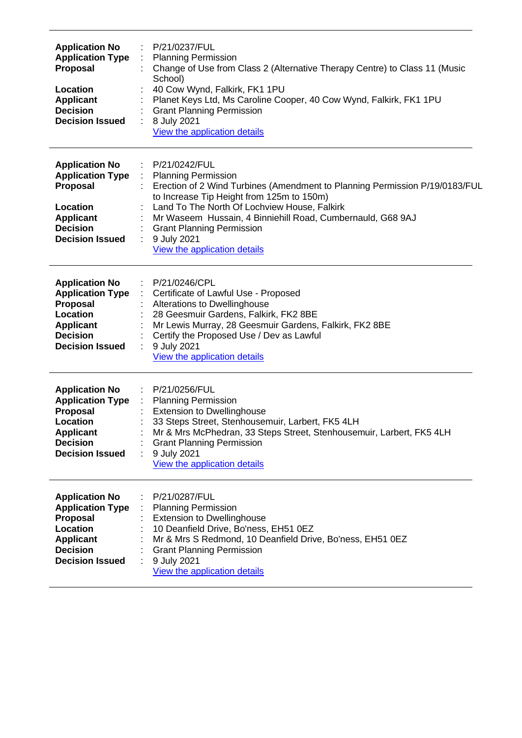| <b>Application No</b><br><b>Application Type</b><br><b>Proposal</b><br>Location<br><b>Applicant</b><br><b>Decision</b><br><b>Decision Issued</b> | P/21/0237/FUL<br><b>Planning Permission</b><br>Change of Use from Class 2 (Alternative Therapy Centre) to Class 11 (Music<br>School)<br>40 Cow Wynd, Falkirk, FK1 1PU<br>Planet Keys Ltd, Ms Caroline Cooper, 40 Cow Wynd, Falkirk, FK1 1PU<br><b>Grant Planning Permission</b><br>8 July 2021<br>÷.<br>View the application details                                          |  |  |
|--------------------------------------------------------------------------------------------------------------------------------------------------|-------------------------------------------------------------------------------------------------------------------------------------------------------------------------------------------------------------------------------------------------------------------------------------------------------------------------------------------------------------------------------|--|--|
| <b>Application No</b><br><b>Application Type</b><br>Proposal<br>Location<br><b>Applicant</b><br><b>Decision</b><br><b>Decision Issued</b>        | P/21/0242/FUL<br>÷<br><b>Planning Permission</b><br>Erection of 2 Wind Turbines (Amendment to Planning Permission P/19/0183/FUL<br>to Increase Tip Height from 125m to 150m)<br>Land To The North Of Lochview House, Falkirk<br>Mr Waseem Hussain, 4 Binniehill Road, Cumbernauld, G68 9AJ<br><b>Grant Planning Permission</b><br>9 July 2021<br>View the application details |  |  |
| <b>Application No</b><br><b>Application Type</b><br><b>Proposal</b><br>Location<br><b>Applicant</b><br><b>Decision</b><br><b>Decision Issued</b> | P/21/0246/CPL<br>Certificate of Lawful Use - Proposed<br>Alterations to Dwellinghouse<br>28 Geesmuir Gardens, Falkirk, FK2 8BE<br>Mr Lewis Murray, 28 Geesmuir Gardens, Falkirk, FK2 8BE<br>Certify the Proposed Use / Dev as Lawful<br>9 July 2021<br>View the application details                                                                                           |  |  |
| <b>Application No</b><br><b>Application Type</b><br><b>Proposal</b><br>Location<br><b>Applicant</b><br><b>Decision</b><br><b>Decision Issued</b> | P/21/0256/FUL<br><b>Planning Permission</b><br><b>Extension to Dwellinghouse</b><br>33 Steps Street, Stenhousemuir, Larbert, FK5 4LH<br>Mr & Mrs McPhedran, 33 Steps Street, Stenhousemuir, Larbert, FK5 4LH<br><b>Grant Planning Permission</b><br>9 July 2021<br>View the application details                                                                               |  |  |
| <b>Application No</b><br><b>Application Type</b><br><b>Proposal</b><br>Location<br><b>Applicant</b><br><b>Decision</b><br><b>Decision Issued</b> | P/21/0287/FUL<br><b>Planning Permission</b><br><b>Extension to Dwellinghouse</b><br>10 Deanfield Drive, Bo'ness, EH51 0EZ<br>Mr & Mrs S Redmond, 10 Deanfield Drive, Bo'ness, EH51 0EZ<br><b>Grant Planning Permission</b><br>9 July 2021<br>View the application details                                                                                                     |  |  |